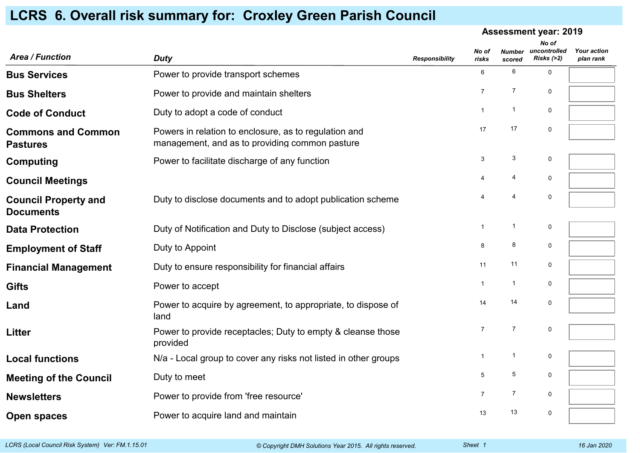## **Assessment year: 2019***Area / Function DutyNo of risksNumber uncontrolled scoredNo of Risks (>2) plan rank Your action*plan rank *Responsibility***Bus Services**Power to provide transport schemes  $6 \t 6 \t 6$ **Bus Shelters**Power to provide and maintain shelters  $7 \times 7$  0 **Code of Conduct**Duty to adopt a code of conduct  $1 \t 1 \t 0$ **Commons and CommonPastures**Powers in relation to enclosure, as to regulation and management, and as to providing common pasture17 <sup>17</sup> <sup>0</sup> **Computing**Power to facilitate discharge of any function  $3^3$   $3^3$  0 **Council Meetings** $4$  4  $4$  0 **Council Property andDocuments**Duty to disclose documents and to adopt publication scheme**e** a 4 4 0 **Data Protection**Duty of Notification and Duty to Disclose (subject access) 1 1 1 0 **Employment of Stafff** Buty to Appoint  $\qquad \qquad 8 \qquad 8 \qquad 0$ **Financial Management** Duty to ensure responsibility for financial affairs**S** 11 11 0 **Gifts** $\mathbf S$  **Power to accept**  $\mathbf A$  1 1 0 **Land** Power to acquire by agreement, to appropriate, to dispose of land14 <sup>14</sup> <sup>0</sup> **Litter** Power to provide receptacles; Duty to empty & cleanse thoseprovided7 <sup>7</sup> <sup>0</sup> **Local functions**N/a - Local group to cover any risks not listed in other groups  $1 \t 1 \t 1$ **Meeting of the CouncilDuty to meet**  $\frac{5}{5}$   $\frac{5}{0}$ **Newsletters**Power to provide from 'free resource' The Contract Contract Contract Contract Contract Contract Contract Contract Contract Contract Contract Contract Contract Contract Contract Contract Contract Contract Contract Contract **Open spaces**Power to acquire land and maintain 13 13 13 13 13 13

## **LCRS 6. Overall risk summary for: Croxley Green Parish Council**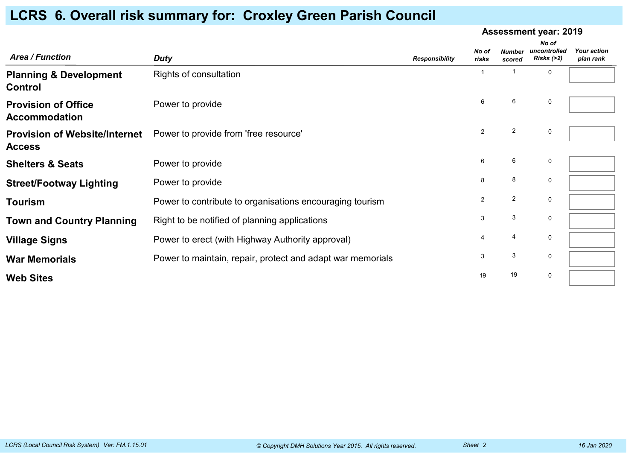|                                                       |                                                            |                       | <b>Assessment year: 2019</b> |                         |                                     |                                 |
|-------------------------------------------------------|------------------------------------------------------------|-----------------------|------------------------------|-------------------------|-------------------------------------|---------------------------------|
| <b>Area / Function</b>                                | <b>Duty</b>                                                | <b>Responsibility</b> | No of<br>risks               | <b>Number</b><br>scored | No of<br>uncontrolled<br>Risks (>2) | <b>Your action</b><br>plan rank |
| <b>Planning &amp; Development</b><br>Control          | Rights of consultation                                     |                       |                              |                         | $\mathbf 0$                         |                                 |
| <b>Provision of Office</b><br><b>Accommodation</b>    | Power to provide                                           |                       | 6                            | 6                       | 0                                   |                                 |
| <b>Provision of Website/Internet</b><br><b>Access</b> | Power to provide from 'free resource'                      |                       | $\overline{2}$               | $\sqrt{2}$              | $\mathbf 0$                         |                                 |
| <b>Shelters &amp; Seats</b>                           | Power to provide                                           |                       | 6                            | 6                       | $\mathbf 0$                         |                                 |
| <b>Street/Footway Lighting</b>                        | Power to provide                                           |                       | 8                            | 8                       | $\mathbf 0$                         |                                 |
| Tourism                                               | Power to contribute to organisations encouraging tourism   |                       | $\overline{2}$               | $\overline{2}$          | 0                                   |                                 |
| <b>Town and Country Planning</b>                      | Right to be notified of planning applications              |                       | 3                            | $\mathbf{3}$            | $\mathbf 0$                         |                                 |
| <b>Village Signs</b>                                  | Power to erect (with Highway Authority approval)           |                       | 4                            | $\overline{4}$          | 0                                   |                                 |
| <b>War Memorials</b>                                  | Power to maintain, repair, protect and adapt war memorials |                       | 3                            | 3                       | $\mathbf 0$                         |                                 |
| <b>Web Sites</b>                                      |                                                            |                       | 19                           | 19                      | 0                                   |                                 |

## **LCRS 6. Overall risk summary for: Croxley Green Parish Council**